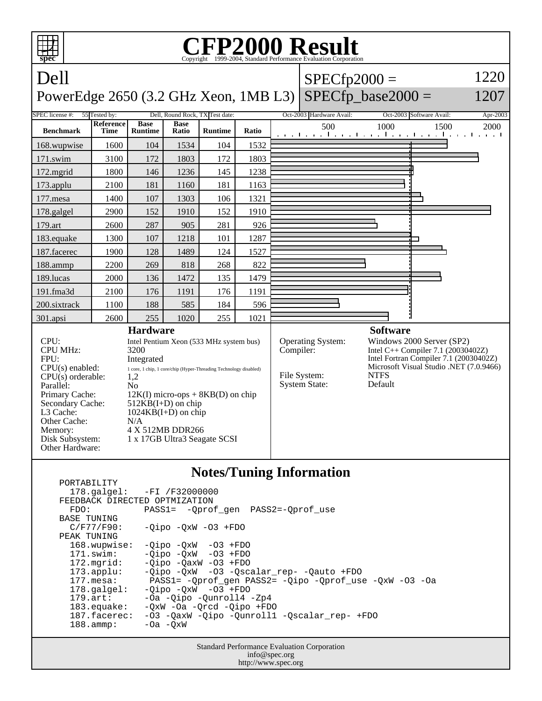

## **Notes/Tuning Information**

|                               | $178.\text{qalgel}: -FI /F32000000$                    |
|-------------------------------|--------------------------------------------------------|
| FEEDBACK DIRECTED OPTMIZATION |                                                        |
| FDO:                          | PASS1= - Oprof gen PASS2=-Oprof use                    |
| <b>BASE TUNING</b>            |                                                        |
| $C/F77/F90$ :                 | $-Oipo$ $-OxW$ $-O3$ $+FDO$                            |
| PEAK TUNING                   |                                                        |
| 168.wupwise:                  | $-Oipo -OXW - O3 + FDO$                                |
| 171.swim:                     | $-Oipo$ $-OxW$ $-O3$ $+FDO$                            |
| $172.\text{mgrid}:$           | $-Oipo -OaxW -O3 + FDO$                                |
| $173.\text{applu}:$           | -Qipo -QxW -O3 -Qscalar_rep- -Qauto +FDO               |
| $177.\text{mesa}:$            | PASS1= -Oprof gen PASS2= -Oipo -Oprof use -OxW -O3 -Oa |
| $178.\text{qalgel}$ :         | $-Oipo$ $-OxW$ $-O3$ $+FDO$                            |
| $179.\text{art}$ :            | -Oa -Oipo -Ounroll4 -Zp4                               |
| $183$ .equake:                | $-0xW$ $-0a$ $-0rcd$ $-0ipo$ $+FDO$                    |
| 187.facerec:                  | -03 -OaxW -Oipo -Ounroll1 -Oscalar rep- +FDO           |
| $188.\text{amp}:$             | $-0a$ $-0xW$                                           |
|                               |                                                        |

PORTABILITY

Standard Performance Evaluation Corporation info@spec.org http://www.spec.org